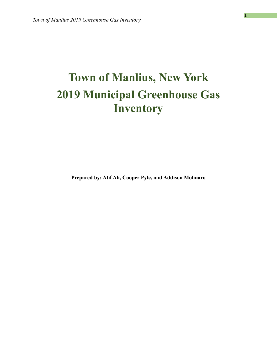# **Town of Manlius, New York 2019 Municipal Greenhouse Gas Inventory**

**Prepared by: Atif Ali, Cooper Pyle, and Addison Molinaro**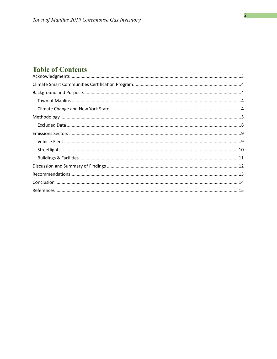## **Table of Contents**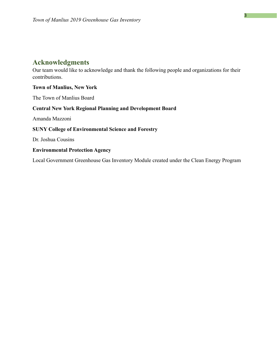## <span id="page-2-0"></span>**Acknowledgments**

Our team would like to acknowledge and thank the following people and organizations for their contributions.

#### **Town of Manlius, New York**

The Town of Manlius Board

#### **Central New York Regional Planning and Development Board**

Amanda Mazzoni

#### **SUNY College of Environmental Science and Forestry**

Dr. Joshua Cousins

#### **Environmental Protection Agency**

Local Government Greenhouse Gas Inventory Module created under the Clean Energy Program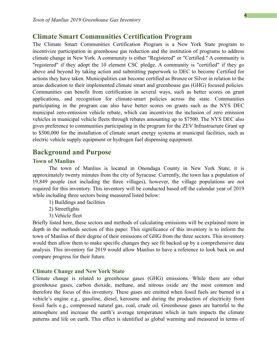## <span id="page-3-0"></span>**Climate Smart Communities Certification Program**

The Climate Smart Communities Certification Program is a New York State program to incentivize participation in greenhouse gas reduction and the institution of programs to address climate change in New York. A community is either "Registered" or "Certified." A community is "registered" if they adopt the 10 element CSC pledge. A community is "certified" if they go above and beyond by taking action and submitting paperwork to DEC to become Certified for actions they have taken. Municipalities can become certified as Bronze or Silver in relation to the areas dedication to their implemented climate smart and greenhouse gas (GHG) focused policies. Communities can benefit from certification in several ways, such as better scores on grant applications, and recognition for climate-smart policies across the state. Communities participating in the program can also have better scores on grants such as the NYS DEC municipal zero-emission vehicle rebate, which can incentivize the inclusion of zero emission vehicles in municipal vehicle fleets through rebates amounting up to \$7500. The NYS DEC also gives preference to communities participating in the program for the ZEV Infrastructure Grant up to \$500,000 for the installation of climate smart energy systems at municipal facilities, such as electric vehicle supply equipment or hydrogen fuel dispensing equipment.

#### <span id="page-3-1"></span>**Background and Purpose**

#### <span id="page-3-2"></span>**Town of Manlius**

The town of Manlius is located in Onondaga County in New York State; it is approximately twenty minutes from the city of Syracuse. Currently, the town has a population of 19,849 people (not including the three villages), however, the village populations are not required for this inventory. This inventory will be conducted based off the calendar year of 2019 while including three sectors being measured listed below:

- 1) Buildings and facilities
- 2) Streetlights
- 3) Vehicle fleet

Briefly listed here, these sectors and methods of calculating emissions will be explained more in depth in the methods section of this paper. This significance of this inventory is to inform the town of Manlius of their degree of their emissions of GHG from the three sectors. This inventory would then allow them to make specific changes they see fit backed up by a comprehensive data analysis. This inventory for 2019 would allow Manlius to have a reference to look back on and compare progress for their future.

#### <span id="page-3-3"></span>**Climate Change and New York State**

Climate change is related to greenhouse gases (GHG) emissions. While there are other greenhouse gases, carbon dioxide, methane, and nitrous oxide are the most common and therefore the focus of this inventory. These gases are emitted when fossil fuels are burned in a vehicle's engine e.g., gasoline, diesel, kerosene and during the production of electricity from fossil fuels e.g., compressed natural gas, coal, crude oil. Greenhouse gases are harmful to the atmosphere and increase the earth's average temperature which in turn impacts the climate patterns and life on earth. This effect is identified as global warming and measured in terms of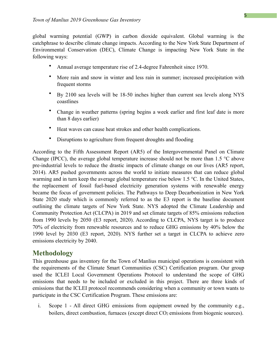global warming potential (GWP) in carbon dioxide equivalent. Global warming is the catchphrase to describe climate change impacts. According to the New York State Department of Environmental Conservation (DEC), Climate Change is impacting New York State in the following ways:

- Annual average temperature rise of 2.4-degree Fahrenheit since 1970.
- More rain and snow in winter and less rain in summer; increased precipitation with frequent storms
- By 2100 sea levels will be 18-50 inches higher than current sea levels along NYS coastlines
- Change in weather patterns (spring begins a week earlier and first leaf date is more than 8 days earlier)
- Heat waves can cause heat strokes and other health complications.
- Disruptions to agriculture from frequent droughts and flooding

According to the Fifth Assessment Report (AR5) of the Intergovernmental Panel on Climate Change (IPCC), the average global temperature increase should not be more than 1.5 °C above pre-industrial levels to reduce the drastic impacts of climate change on our lives (AR5 report, 2014). AR5 pushed governments across the world to initiate measures that can reduce global warming and in turn keep the average global temperature rise below 1.5 °C. In the United States, the replacement of fossil fuel-based electricity generation systems with renewable energy became the focus of government policies. The Pathways to Deep Decarbonization in New York State 2020 study which is commonly referred to as the E3 report is the baseline document outlining the climate targets of New York State. NYS adopted the Climate Leadership and Community Protection Act (CLCPA) in 2019 and set climate targets of 85% emissions reduction from 1990 levels by 2050 (E3 report, 2020). According to CLCPA, NYS target is to produce 70% of electricity from renewable resources and to reduce GHG emissions by 40% below the 1990 level by 2030 (E3 report, 2020). NYS further set a target in CLCPA to achieve zero emissions electricity by 2040.

## <span id="page-4-0"></span>**Methodology**

This greenhouse gas inventory for the Town of Manlius municipal operations is consistent with the requirements of the Climate Smart Communities (CSC) Certification program. Our group used the ICLEI Local Government Operations Protocol to understand the scope of GHG emissions that needs to be included or excluded in this project. There are three kinds of emissions that the ICLEI protocol recommends considering when a community or town wants to participate in the CSC Certification Program. These emissions are:

i. Scope 1 - All direct GHG emissions from equipment owned by the community e.g., boilers, direct combustion, furnaces (except direct  $CO<sub>2</sub>$  emissions from biogenic sources).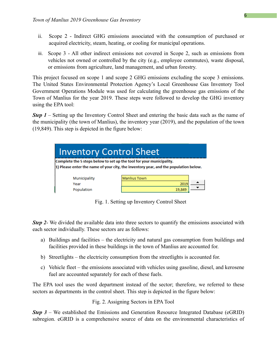- ii. Scope 2 Indirect GHG emissions associated with the consumption of purchased or acquired electricity, steam, heating, or cooling for municipal operations.
- iii. Scope 3 All other indirect emissions not covered in Scope 2, such as emissions from vehicles not owned or controlled by the city (e.g., employee commutes), waste disposal, or emissions from agriculture, land management, and urban forestry.

This project focused on scope 1 and scope 2 GHG emissions excluding the scope 3 emissions. The United States Environmental Protection Agency's Local Greenhouse Gas Inventory Tool Government Operations Module was used for calculating the greenhouse gas emissions of the Town of Manlius for the year 2019. These steps were followed to develop the GHG inventory using the EPA tool:

*Step 1* – Setting up the Inventory Control Sheet and entering the basic data such as the name of the municipality (the town of Manlius), the inventory year (2019), and the population of the town (19,849). This step is depicted in the figure below:

| <b>Inventory Control Sheet</b>                                                                                                                               |                     |  |  |  |  |
|--------------------------------------------------------------------------------------------------------------------------------------------------------------|---------------------|--|--|--|--|
| Complete the 5 steps below to set up the tool for your municipality.<br>1) Please enter the name of your city, the inventory year, and the population below. |                     |  |  |  |  |
|                                                                                                                                                              |                     |  |  |  |  |
| Municipality                                                                                                                                                 | <b>Manlius Town</b> |  |  |  |  |
| Year                                                                                                                                                         | 2019                |  |  |  |  |
| Population                                                                                                                                                   | 19,849              |  |  |  |  |

Fig. 1. Setting up Inventory Control Sheet

*Step 2*- We divided the available data into three sectors to quantify the emissions associated with each sector individually. These sectors are as follows:

- a) Buildings and facilities the electricity and natural gas consumption from buildings and facilities provided in these buildings in the town of Manlius are accounted for.
- b) Streetlights the electricity consumption from the streetlights is accounted for.
- c) Vehicle fleet the emissions associated with vehicles using gasoline, diesel, and kerosene fuel are accounted separately for each of these fuels.

The EPA tool uses the word department instead of the sector; therefore, we referred to these sectors as departments in the control sheet. This step is depicted in the figure below:

Fig. 2. Assigning Sectors in EPA Tool

*Step 3* – We established the Emissions and Generation Resource Integrated Database (eGRID) subregion. eGRID is a comprehensive source of data on the environmental characteristics of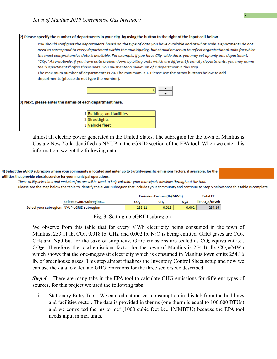

| 1 Buildings and facilities |
|----------------------------|
| 2 Streetlights             |
| 3 Vehicle fleet            |

almost all electric power generated in the United States. The subregion for the town of Manlius is Upstate New York identified as NYUP in the eGRID section of the EPA tool. When we enter this information, we get the following data:

4) Select the eGRID subregion where your community is located and enter up to 5 utility-specific emissions factors, if available, for the utilities that provide electric service for your municipal operations.

These utility selections and emission factors will be used to help calculate your municipal emissions throughout the tool. Please see the map below the table to identify the eGRID subregion that includes your community and continue to Step 5 below once this table is complete.

|                                             | <b>Emission Factors (lb/MWh)</b> |       |                  | <b>Total EF</b>          |
|---------------------------------------------|----------------------------------|-------|------------------|--------------------------|
| Select eGRID Subregion                      | CO-                              | CH.   | N <sub>2</sub> O | lb CO <sub>2</sub> e/MWh |
| Select your subregion: NYUP eGRID subregion | 253.11                           | 0.018 | 0.002            | 254.16                   |

Fig. 3. Setting up eGRID subregion

We observe from this table that for every MWh electricity being consumed in the town of Manlius; 253.11 lb.  $CO<sub>2</sub>$ , 0.018 lb. CH<sub>4</sub>, and 0.002 lb. N<sub>2</sub>O is being emitted. GHG gases are  $CO<sub>2</sub>$ , CH<sub>4</sub> and N<sub>2</sub>O but for the sake of simplicity, GHG emissions are scaled as  $CO<sub>2</sub>$  equivalent i.e., CO<sub>2</sub>e. Therefore, the total emissions factor for the town of Manlius is 254.16 lb. CO<sub>2</sub>e/MWh which shows that the one-megawatt electricity which is consumed in Manlius town emits 254.16 lb. of greenhouse gases. This step almost finalizes the Inventory Control Sheet setup and now we can use the data to calculate GHG emissions for the three sectors we described.

*Step 4* – There are many tabs in the EPA tool to calculate GHG emissions for different types of sources, for this project we used the following tabs:

i. Stationary Entry Tab – We entered natural gas consumption in this tab from the buildings and facilities sector. The data is provided in therms (one therm is equal to 100,000 BTUs) and we converted therms to mcf (1000 cubic feet i.e., 1MMBTU) because the EPA tool needs input in mcf units.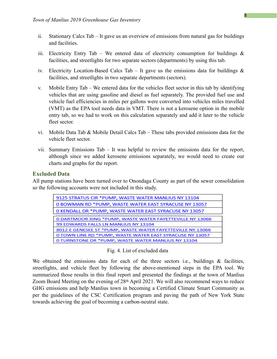- ii. Stationary Calcs Tab It gave us an overview of emissions from natural gas for buildings and facilities.
- iii. Electricity Entry Tab We entered data of electricity consumption for buildings  $\&$ facilities, and streetlights for two separate sectors (departments) by using this tab.
- iv. Electricity Location-Based Calcs Tab It gave us the emissions data for buildings  $\&$ facilities, and streetlights in two separate departments (sectors).
- v. Mobile Entry Tab We entered data for the vehicles fleet sector in this tab by identifying vehicles that are using gasoline and diesel as fuel separately. The provided fuel use and vehicle fuel efficiencies in miles per gallons were converted into vehicles miles travelled (VMT) as the EPA tool needs data in VMT. There is not a kerosene option in the mobile entry tab, so we had to work on this calculation separately and add it later to the vehicle fleet sector.
- vi. Mobile Data Tab & Mobile Detail Calcs Tab These tabs provided emissions data for the vehicle fleet sector.
- vii. Summary Emissions Tab It was helpful to review the emissions data for the report, although since we added kerosene emissions separately, we would need to create our charts and graphs for the report.

#### <span id="page-7-0"></span>**Excluded Data**

All pump stations have been turned over to Onondaga County as part of the sewer consolidation so the following accounts were not included in this study.

| 9125 STRATUS CIR *PUMP, WASTE WATER MANLIUS NY 13104       |
|------------------------------------------------------------|
| 0 BOWMAN RD *PUMP, WASTE WATER EAST SYRACUSE NY 13057      |
| 0 KENDALL DR *PUMP, WASTE WATER EAST SYRACUSE NY 13057     |
|                                                            |
| 0.DARTMOOR XING * PUMP, WASTE WATER FAYETTEVILLE NY 13066  |
| 99 EDWARDS FALLS LN MANLIUS NY 13104                       |
| 8012 E GENESEE ST *PUMP, WASTE WATER FAYETTEVILLE NY 13066 |
| 0.TOWN LINE RD. * PUMP, WASTE WATER EAST SYRACUSE NY 13057 |
| O TURNSTONE DR *PUMP, WASTE WATER MANLIUS NY 13104         |
|                                                            |

#### Fig. 4. List of excluded data

We obtained the emissions data for each of the three sectors i.e., buildings & facilities, streetlights, and vehicle fleet by following the above-mentioned steps in the EPA tool. We summarized those results in this final report and presented the findings at the town of Manlius Zoom Board Meeting on the evening of 28th April 2021. We will also recommend ways to reduce GHG emissions and help Manlius town in becoming a Certified Climate Smart Community as per the guidelines of the CSC Certification program and paving the path of New York State towards achieving the goal of becoming a carbon-neutral state.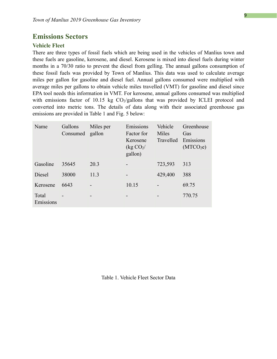#### <span id="page-8-0"></span>**Emissions Sectors**

#### <span id="page-8-1"></span>**Vehicle Fleet**

There are three types of fossil fuels which are being used in the vehicles of Manlius town and these fuels are gasoline, kerosene, and diesel. Kerosene is mixed into diesel fuels during winter months in a 70/30 ratio to prevent the diesel from gelling. The annual gallons consumption of these fossil fuels was provided by Town of Manlius. This data was used to calculate average miles per gallon for gasoline and diesel fuel. Annual gallons consumed were multiplied with average miles per gallons to obtain vehicle miles travelled (VMT) for gasoline and diesel since EPA tool needs this information in VMT. For kerosene, annual gallons consumed was multiplied with emissions factor of 10.15 kg  $CO<sub>2</sub>/gallons$  that was provided by ICLEI protocol and converted into metric tons. The details of data along with their associated greenhouse gas emissions are provided in Table 1 and Fig. 5 below:

| Name               | Gallons<br>Consumed      | Miles per<br>gallon | Emissions<br>Factor for<br>Kerosene<br>(kg CO <sub>2</sub> /<br>gallon) | Vehicle<br>Miles<br>Travelled | Greenhouse<br>Gas<br>Emissions<br>(MTCO <sub>2</sub> e) |
|--------------------|--------------------------|---------------------|-------------------------------------------------------------------------|-------------------------------|---------------------------------------------------------|
| Gasoline           | 35645                    | 20.3                |                                                                         | 723,593                       | 313                                                     |
| Diesel             | 38000                    | 11.3                |                                                                         | 429,400                       | 388                                                     |
| Kerosene           | 6643                     |                     | 10.15                                                                   |                               | 69.75                                                   |
| Total<br>Emissions | $\overline{\phantom{0}}$ | -                   | -                                                                       |                               | 770.75                                                  |

Table 1. Vehicle Fleet Sector Data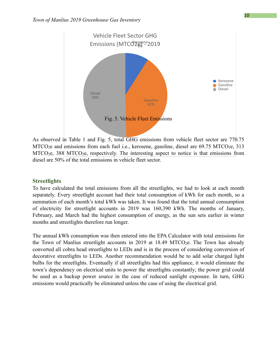

As observed in Table 1 and Fig. 5, total GHG emissions from vehicle fleet sector are 770.75 MTCO<sub>2</sub>e and emissions from each fuel i.e., kerosene, gasoline, diesel are  $69.75$  MTCO<sub>2</sub>e,  $313$ MTCO2e, 388 MTCO2e, respectively. The interesting aspect to notice is that emissions from diesel are 50% of the total emissions in vehicle fleet sector.

#### <span id="page-9-0"></span>**Streetlights**

To have calculated the total emissions from all the streetlights, we had to look at each month separately. Every streetlight account had their total consumption of kWh for each month, so a summation of each month's total kWh was taken. It was found that the total annual consumption of electricity for streetlight accounts in 2019 was 160,390 kWh. The months of January, February, and March had the highest consumption of energy, as the sun sets earlier in winter months and streetlights therefore run longer.

The annual kWh consumption was then entered into the EPA Calculator with total emissions for the Town of Manlius streetlight accounts in 2019 at  $18.49$  MTCO<sub>2</sub>e. The Town has already converted all cobra head streetlights to LEDs and is in the process of considering conversion of decorative streetlights to LEDs. Another recommendation would be to add solar charged light bulbs for the streetlights. Eventually if all streetlights had this appliance, it would eliminate the town's dependency on electrical units to power the streetlights constantly; the power grid could be used as a backup power source in the case of reduced sunlight exposure. In turn, GHG emissions would practically be eliminated unless the case of using the electrical grid.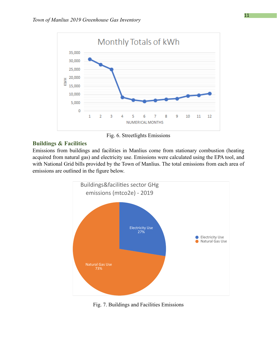

Fig. 6. Streetlights Emissions

#### <span id="page-10-0"></span>**Buildings & Facilities**

Emissions from buildings and facilities in Manlius come from stationary combustion (heating acquired from natural gas) and electricity use. Emissions were calculated using the EPA tool, and with National Grid bills provided by the Town of Manlius. The total emissions from each area of emissions are outlined in the figure below.



Fig. 7. Buildings and Facilities Emissions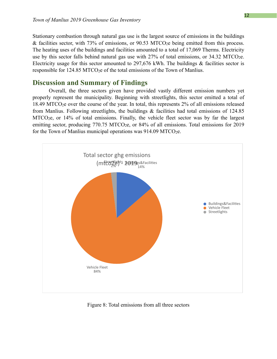Stationary combustion through natural gas use is the largest source of emissions in the buildings  $\&$  facilities sector, with 73% of emissions, or 90.53 MTCO<sub>2</sub>e being emitted from this process. The heating uses of the buildings and facilities amounted to a total of 17,069 Therms. Electricity use by this sector falls behind natural gas use with  $27\%$  of total emissions, or  $34.32$  MTCO<sub>2</sub>e. Electricity usage for this sector amounted to 297,676 kWh. The buildings  $\&$  facilities sector is responsible for 124.85 MTCO<sub>2</sub>e of the total emissions of the Town of Manlius.

#### <span id="page-11-0"></span>**Discussion and Summary of Findings**

Overall, the three sectors given have provided vastly different emission numbers yet properly represent the municipality. Beginning with streetlights, this sector emitted a total of 18.49 MTCO2e over the course of the year. In total, this represents 2% of all emissions released from Manlius. Following streetlights, the buildings & facilities had total emissions of 124.85 MTCO2e, or 14% of total emissions. Finally, the vehicle fleet sector was by far the largest emitting sector, producing 770.75 MTCO<sub>2</sub>e, or 84% of all emissions. Total emissions for 2019 for the Town of Manlius municipal operations was  $914.09$  MTCO<sub>2</sub>e.



Figure 8: Total emissions from all three sectors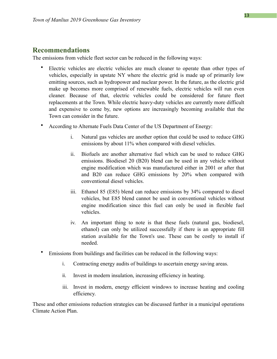#### <span id="page-12-0"></span>**Recommendations**

The emissions from vehicle fleet sector can be reduced in the following ways:

- Electric vehicles are electric vehicles are much cleaner to operate than other types of vehicles, especially in upstate NY where the electric grid is made up of primarily low emitting sources, such as hydropower and nuclear power. In the future, as the electric grid make up becomes more comprised of renewable fuels, electric vehicles will run even cleaner. Because of that, electric vehicles could be considered for future fleet replacements at the Town. While electric heavy-duty vehicles are currently more difficult and expensive to come by, new options are increasingly becoming available that the Town can consider in the future.
- According to Alternate Fuels Data Center of the US Department of Energy:
	- i. Natural gas vehicles are another option that could be used to reduce GHG emissions by about 11% when compared with diesel vehicles.
	- ii. Biofuels are another alternative fuel which can be used to reduce GHG emissions. Biodiesel 20 (B20) blend can be used in any vehicle without engine modification which was manufactured either in 2001 or after that and B20 can reduce GHG emissions by 20% when compared with conventional diesel vehicles.
	- iii. Ethanol 85 (E85) blend can reduce emissions by 34% compared to diesel vehicles, but E85 blend cannot be used in conventional vehicles without engine modification since this fuel can only be used in flexible fuel vehicles.
	- iv. An important thing to note is that these fuels (natural gas, biodiesel, ethanol) can only be utilized successfully if there is an appropriate fill station available for the Town's use. These can be costly to install if needed.
- Emissions from buildings and facilities can be reduced in the following ways:
	- i. Contracting energy audits of buildings to ascertain energy saving areas.
	- ii. Invest in modern insulation, increasing efficiency in heating.
	- iii. Invest in modern, energy efficient windows to increase heating and cooling efficiency.

These and other emissions reduction strategies can be discussed further in a municipal operations Climate Action Plan.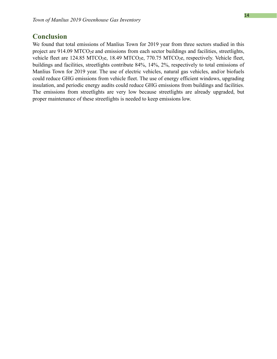### <span id="page-13-0"></span>**Conclusion**

We found that total emissions of Manlius Town for 2019 year from three sectors studied in this project are 914.09 MTCO2e and emissions from each sector buildings and facilities, streetlights, vehicle fleet are 124.85 MTCO<sub>2</sub>e, 18.49 MTCO<sub>2</sub>e, 770.75 MTCO<sub>2</sub>e, respectively. Vehicle fleet, buildings and facilities, streetlights contribute 84%, 14%, 2%, respectively to total emissions of Manlius Town for 2019 year. The use of electric vehicles, natural gas vehicles, and/or biofuels could reduce GHG emissions from vehicle fleet. The use of energy efficient windows, upgrading insulation, and periodic energy audits could reduce GHG emissions from buildings and facilities. The emissions from streetlights are very low because streetlights are already upgraded, but proper maintenance of these streetlights is needed to keep emissions low.